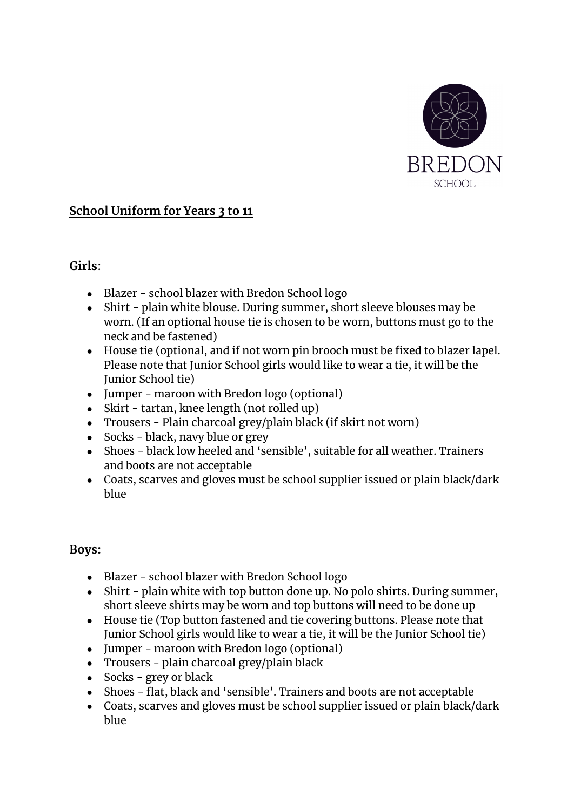

# **School Uniform for Years 3 to 11**

## **Girls**:

- Blazer school blazer with Bredon School logo
- Shirt plain white blouse. During summer, short sleeve blouses may be worn. (If an optional house tie is chosen to be worn, buttons must go to the neck and be fastened)
- House tie (optional, and if not worn pin brooch must be fixed to blazer lapel. Please note that Junior School girls would like to wear a tie, it will be the Junior School tie)
- Jumper maroon with Bredon logo (optional)
- Skirt tartan, knee length (not rolled up)
- Trousers Plain charcoal grey/plain black (if skirt not worn)
- Socks black, navy blue or grey
- Shoes black low heeled and 'sensible', suitable for all weather. Trainers and boots are not acceptable
- Coats, scarves and gloves must be school supplier issued or plain black/dark blue

## **Boys:**

- Blazer school blazer with Bredon School logo
- Shirt plain white with top button done up. No polo shirts. During summer, short sleeve shirts may be worn and top buttons will need to be done up
- House tie (Top button fastened and tie covering buttons. Please note that Junior School girls would like to wear a tie, it will be the Junior School tie)
- Jumper maroon with Bredon logo (optional)
- Trousers plain charcoal grey/plain black
- Socks grey or black
- Shoes flat, black and 'sensible'. Trainers and boots are not acceptable
- Coats, scarves and gloves must be school supplier issued or plain black/dark blue